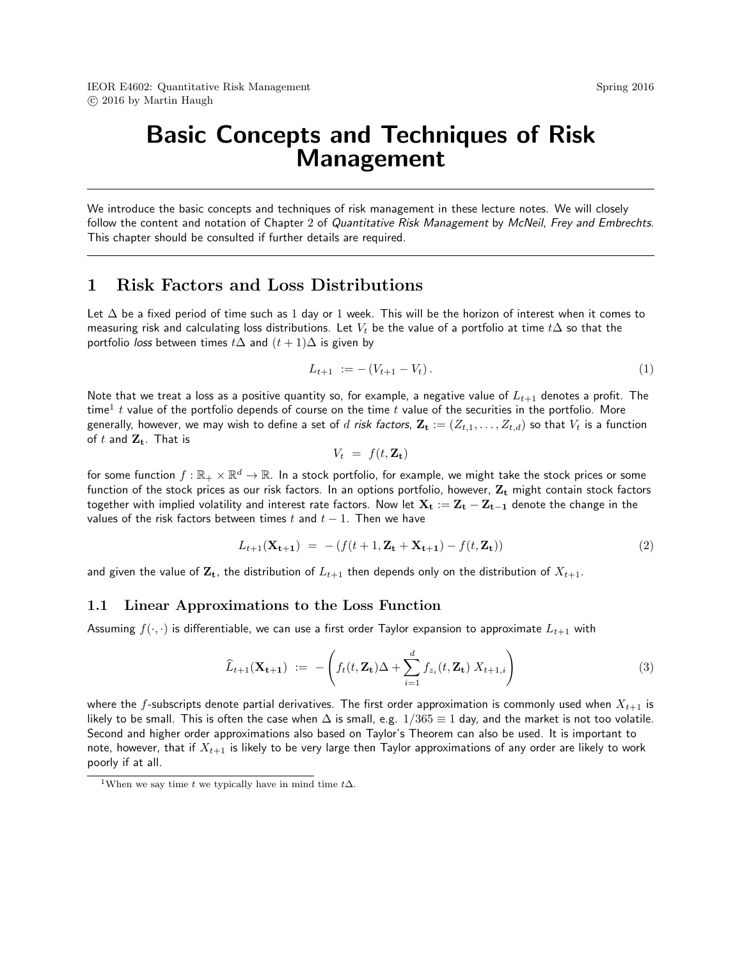# Basic Concepts and Techniques of Risk Management

We introduce the basic concepts and techniques of risk management in these lecture notes. We will closely follow the content and notation of Chapter 2 of Quantitative Risk Management by McNeil, Frey and Embrechts. This chapter should be consulted if further details are required.

# 1 Risk Factors and Loss Distributions

Let ∆ be a fixed period of time such as 1 day or 1 week. This will be the horizon of interest when it comes to measuring risk and calculating loss distributions. Let  $V_t$  be the value of a portfolio at time  $t\Delta$  so that the portfolio *loss* between times  $t\Delta$  and  $(t + 1)\Delta$  is given by

$$
L_{t+1} := -\left(V_{t+1} - V_t\right). \tag{1}
$$

Note that we treat a loss as a positive quantity so, for example, a negative value of  $L_{t+1}$  denotes a profit. The time $^1$   $t$  value of the portfolio depends of course on the time  $t$  value of the securities in the portfolio. More generally, however, we may wish to define a set of d risk factors,  $\mathbf{Z_t} := (Z_{t,1}, \ldots, Z_{t,d})$  so that  $V_t$  is a function of  $t$  and  $\mathbf{Z_t}$ . That is

$$
V_t = f(t, \mathbf{Z_t})
$$

for some function  $f:\R_+\times\R^d\to\R$ . In a stock portfolio, for example, we might take the stock prices or some function of the stock prices as our risk factors. In an options portfolio, however,  $Z_t$  might contain stock factors together with implied volatility and interest rate factors. Now let  $X_t := Z_t - Z_{t-1}$  denote the change in the values of the risk factors between times t and  $t - 1$ . Then we have

$$
L_{t+1}(\mathbf{X}_{t+1}) = -(f(t+1, \mathbf{Z}_t + \mathbf{X}_{t+1}) - f(t, \mathbf{Z}_t))
$$
\n(2)

and given the value of  $\mathbf{Z}_t$ , the distribution of  $L_{t+1}$  then depends only on the distribution of  $X_{t+1}$ .

## 1.1 Linear Approximations to the Loss Function

Assuming  $f(\cdot,\cdot)$  is differentiable, we can use a first order Taylor expansion to approximate  $L_{t+1}$  with

$$
\widehat{L}_{t+1}(\mathbf{X}_{t+1}) := -\left(f_t(t, \mathbf{Z}_t)\Delta + \sum_{i=1}^d f_{z_i}(t, \mathbf{Z}_t) X_{t+1,i}\right)
$$
\n(3)

where the f-subscripts denote partial derivatives. The first order approximation is commonly used when  $X_{t+1}$  is likely to be small. This is often the case when  $\Delta$  is small, e.g.  $1/365 \equiv 1$  day, and the market is not too volatile. Second and higher order approximations also based on Taylor's Theorem can also be used. It is important to note, however, that if  $X_{t+1}$  is likely to be very large then Taylor approximations of any order are likely to work poorly if at all.

<sup>&</sup>lt;sup>1</sup>When we say time t we typically have in mind time  $t\Delta$ .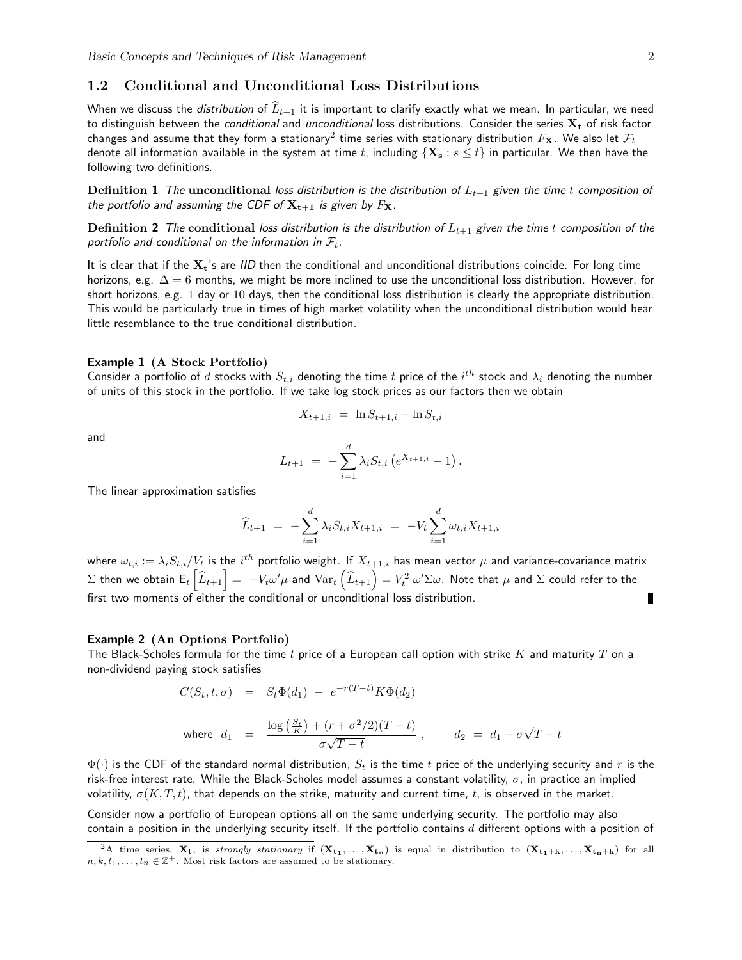# 1.2 Conditional and Unconditional Loss Distributions

When we discuss the distribution of  $\widehat{L}_{t+1}$  it is important to clarify exactly what we mean. In particular, we need to distinguish between the *conditional* and *unconditional* loss distributions. Consider the series  $X_t$  of risk factor changes and assume that they form a stationary $^2$  time series with stationary distribution  $F_{\bf X}.$  We also let  $\mathcal{F}_t$ denote all information available in the system at time t, including  ${X_s : s \le t}$  in particular. We then have the following two definitions.

**Definition 1** The unconditional loss distribution is the distribution of  $L_{t+1}$  given the time t composition of the portfolio and assuming the CDF of  $X_{t+1}$  is given by  $F_X$ .

**Definition 2** The conditional loss distribution is the distribution of  $L_{t+1}$  given the time t composition of the portfolio and conditional on the information in  $\mathcal{F}_t$ .

It is clear that if the  $X_t$ 's are IID then the conditional and unconditional distributions coincide. For long time horizons, e.g.  $\Delta = 6$  months, we might be more inclined to use the unconditional loss distribution. However, for short horizons, e.g. 1 day or 10 days, then the conditional loss distribution is clearly the appropriate distribution. This would be particularly true in times of high market volatility when the unconditional distribution would bear little resemblance to the true conditional distribution.

#### Example 1 (A Stock Portfolio)

Consider a portfolio of  $d$  stocks with  $S_{t,i}$  denoting the time  $t$  price of the  $i^{th}$  stock and  $\lambda_i$  denoting the number of units of this stock in the portfolio. If we take log stock prices as our factors then we obtain

$$
X_{t+1,i} = \ln S_{t+1,i} - \ln S_{t,i}
$$

and

$$
L_{t+1} = -\sum_{i=1}^d \lambda_i S_{t,i} \left( e^{X_{t+1,i}} - 1 \right).
$$

The linear approximation satisfies

$$
\widehat{L}_{t+1} = -\sum_{i=1}^{d} \lambda_i S_{t,i} X_{t+1,i} = -V_t \sum_{i=1}^{d} \omega_{t,i} X_{t+1,i}
$$

where  $\omega_{t,i}:=\lambda_i S_{t,i}/V_t$  is the  $i^{th}$  portfolio weight. If  $X_{t+1,i}$  has mean vector  $\mu$  and variance-covariance matrix  $\Sigma$  then we obtain  ${\sf E}_t\left[\widehat{L}_{t+1}\right]=~-V_t\omega'\mu$  and  ${\rm Var}_t\left(\widehat{L}_{t+1}\right)=V_t^2~\omega'\Sigma\omega.$  Note that  $\mu$  and  $\Sigma$  could refer to the first two moments of either the conditional or unconditional loss distribution.

#### Example 2 (An Options Portfolio)

The Black-Scholes formula for the time t price of a European call option with strike  $K$  and maturity  $T$  on a non-dividend paying stock satisfies

$$
C(S_t, t, \sigma) = S_t \Phi(d_1) - e^{-r(T-t)} K \Phi(d_2)
$$

$$
\text{where} \;\; d_1 \;\; = \;\; \frac{\log \left( \frac{S_t}{K} \right) + (r + \sigma^2/2) (T-t)}{\sigma \sqrt{T-t}} \; , \qquad \ \, d_2 \;\; = \;\; d_1 - \sigma \sqrt{T-t} \; .
$$

 $\Phi(\cdot)$  is the CDF of the standard normal distribution,  $S_t$  is the time t price of the underlying security and r is the risk-free interest rate. While the Black-Scholes model assumes a constant volatility,  $\sigma$ , in practice an implied volatility,  $\sigma(K, T, t)$ , that depends on the strike, maturity and current time, t, is observed in the market.

Consider now a portfolio of European options all on the same underlying security. The portfolio may also contain a position in the underlying security itself. If the portfolio contains  $d$  different options with a position of

<sup>&</sup>lt;sup>2</sup>A time series,  $X_t$ , is strongly stationary if  $(X_{t_1},...,X_{t_n})$  is equal in distribution to  $(X_{t_1+k},...,X_{t_n+k})$  for all  $n, k, t_1, \ldots, t_n \in \mathbb{Z}^+$ . Most risk factors are assumed to be stationary.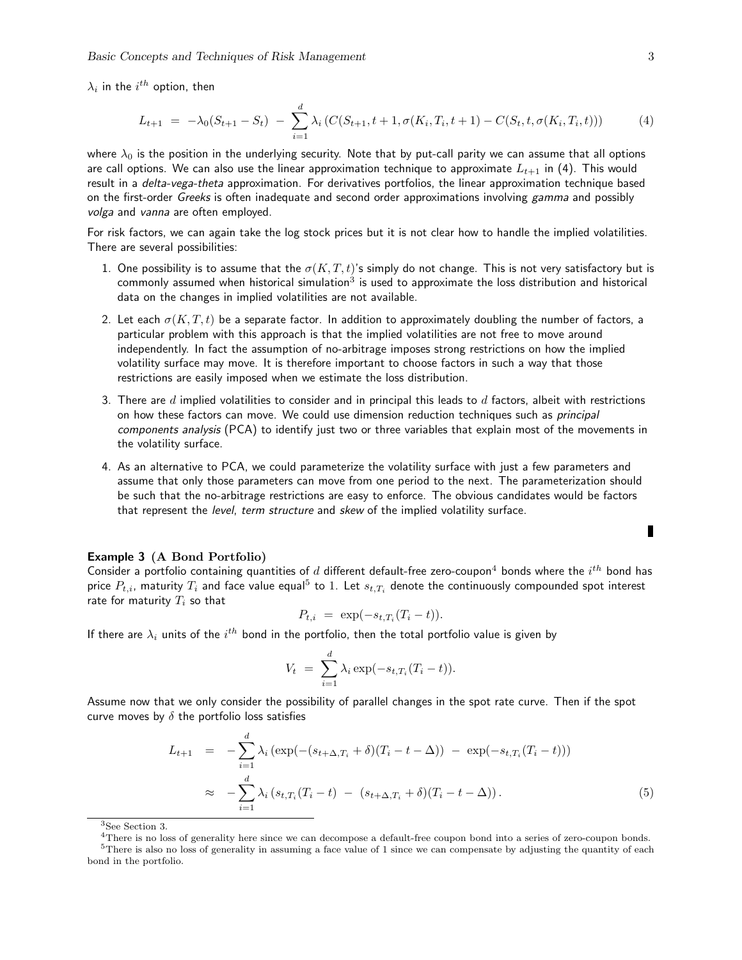$\lambda_i$  in the  $i^{th}$  option, then

$$
L_{t+1} = -\lambda_0 (S_{t+1} - S_t) - \sum_{i=1}^d \lambda_i \left( C(S_{t+1}, t+1, \sigma(K_i, T_i, t+1) - C(S_t, t, \sigma(K_i, T_i, t)) \right) \tag{4}
$$

where  $\lambda_0$  is the position in the underlying security. Note that by put-call parity we can assume that all options are call options. We can also use the linear approximation technique to approximate  $L_{t+1}$  in (4). This would result in a *delta-vega-theta* approximation. For derivatives portfolios, the linear approximation technique based on the first-order Greeks is often inadequate and second order approximations involving gamma and possibly volga and vanna are often employed.

For risk factors, we can again take the log stock prices but it is not clear how to handle the implied volatilities. There are several possibilities:

- 1. One possibility is to assume that the  $\sigma(K,T,t)$ 's simply do not change. This is not very satisfactory but is commonly assumed when historical simulation $^3$  is used to approximate the loss distribution and historical data on the changes in implied volatilities are not available.
- 2. Let each  $\sigma(K, T, t)$  be a separate factor. In addition to approximately doubling the number of factors, a particular problem with this approach is that the implied volatilities are not free to move around independently. In fact the assumption of no-arbitrage imposes strong restrictions on how the implied volatility surface may move. It is therefore important to choose factors in such a way that those restrictions are easily imposed when we estimate the loss distribution.
- 3. There are  $d$  implied volatilities to consider and in principal this leads to  $d$  factors, albeit with restrictions on how these factors can move. We could use dimension reduction techniques such as principal components analysis (PCA) to identify just two or three variables that explain most of the movements in the volatility surface.
- 4. As an alternative to PCA, we could parameterize the volatility surface with just a few parameters and assume that only those parameters can move from one period to the next. The parameterization should be such that the no-arbitrage restrictions are easy to enforce. The obvious candidates would be factors that represent the level, term structure and skew of the implied volatility surface.

#### Example 3 (A Bond Portfolio)

Consider a portfolio containing quantities of  $d$  different default-free zero-coupon $^4$  bonds where the  $i^{th}$  bond has price  $P_{t,i}$ , maturity  $T_i$  and face value equal $^5$  to  $1.$  Let  $s_{t,T_i}$  denote the continuously compounded spot interest rate for maturity  $T_i$  so that

$$
P_{t,i} = \exp(-s_{t,T_i}(T_i - t)).
$$

If there are  $\lambda_i$  units of the  $i^{th}$  bond in the portfolio, then the total portfolio value is given by

$$
V_t = \sum_{i=1}^d \lambda_i \exp(-s_{t,T_i}(T_i - t)).
$$

Assume now that we only consider the possibility of parallel changes in the spot rate curve. Then if the spot curve moves by  $\delta$  the portfolio loss satisfies

$$
L_{t+1} = -\sum_{i=1}^{d} \lambda_i \left( \exp(-(s_{t+\Delta,T_i} + \delta)(T_i - t - \Delta)) - \exp(-s_{t,T_i}(T_i - t)) \right)
$$
  

$$
\approx -\sum_{i=1}^{d} \lambda_i \left( s_{t,T_i}(T_i - t) - (s_{t+\Delta,T_i} + \delta)(T_i - t - \Delta) \right).
$$
 (5)

П

<sup>3</sup>See Section 3.

<sup>4</sup>There is no loss of generality here since we can decompose a default-free coupon bond into a series of zero-coupon bonds.

 $5$ There is also no loss of generality in assuming a face value of 1 since we can compensate by adjusting the quantity of each bond in the portfolio.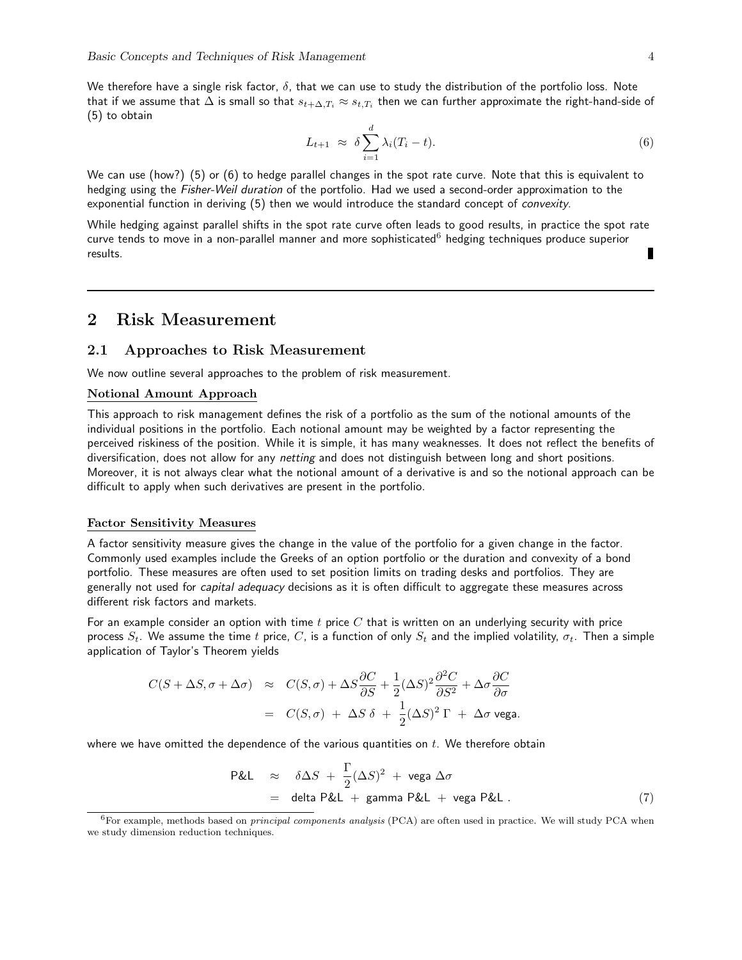We therefore have a single risk factor,  $\delta$ , that we can use to study the distribution of the portfolio loss. Note that if we assume that  $\Delta$  is small so that  $s_{t+\Delta,T_i}\approx s_{t,T_i}$  then we can further approximate the right-hand-side of (5) to obtain

$$
L_{t+1} \approx \delta \sum_{i=1}^{d} \lambda_i (T_i - t). \tag{6}
$$

We can use (how?) (5) or (6) to hedge parallel changes in the spot rate curve. Note that this is equivalent to hedging using the Fisher-Weil duration of the portfolio. Had we used a second-order approximation to the exponential function in deriving (5) then we would introduce the standard concept of *convexity*.

While hedging against parallel shifts in the spot rate curve often leads to good results, in practice the spot rate curve tends to move in a non-parallel manner and more sophisticated<sup>6</sup> hedging techniques produce superior results.

# 2 Risk Measurement

### 2.1 Approaches to Risk Measurement

We now outline several approaches to the problem of risk measurement.

### Notional Amount Approach

This approach to risk management defines the risk of a portfolio as the sum of the notional amounts of the individual positions in the portfolio. Each notional amount may be weighted by a factor representing the perceived riskiness of the position. While it is simple, it has many weaknesses. It does not reflect the benefits of diversification, does not allow for any *netting* and does not distinguish between long and short positions. Moreover, it is not always clear what the notional amount of a derivative is and so the notional approach can be difficult to apply when such derivatives are present in the portfolio.

#### Factor Sensitivity Measures

A factor sensitivity measure gives the change in the value of the portfolio for a given change in the factor. Commonly used examples include the Greeks of an option portfolio or the duration and convexity of a bond portfolio. These measures are often used to set position limits on trading desks and portfolios. They are generally not used for *capital adequacy* decisions as it is often difficult to aggregate these measures across different risk factors and markets.

For an example consider an option with time  $t$  price  $C$  that is written on an underlying security with price process  $S_t$ . We assume the time t price, C, is a function of only  $S_t$  and the implied volatility,  $\sigma_t$ . Then a simple application of Taylor's Theorem yields

$$
C(S + \Delta S, \sigma + \Delta \sigma) \approx C(S, \sigma) + \Delta S \frac{\partial C}{\partial S} + \frac{1}{2} (\Delta S)^2 \frac{\partial^2 C}{\partial S^2} + \Delta \sigma \frac{\partial C}{\partial \sigma}
$$
  
=  $C(S, \sigma) + \Delta S \delta + \frac{1}{2} (\Delta S)^2 \Gamma + \Delta \sigma$  vega.

where we have omitted the dependence of the various quantities on  $t$ . We therefore obtain

$$
\begin{array}{rcl}\n\mathsf{P}\&\mathsf{L} & \approx & \delta\Delta S + \frac{\Gamma}{2}(\Delta S)^2 + \text{ vega }\Delta\sigma \\
& = & \mathsf{delta} \ \mathsf{P}\&\mathsf{L} + \text{gamma }\ \mathsf{P}\&\mathsf{L} + \text{ vega }\ \mathsf{P}\&\mathsf{L}\ .\n\end{array}\n\tag{7}
$$

 $6F$ or example, methods based on *principal components analysis* (PCA) are often used in practice. We will study PCA when we study dimension reduction techniques.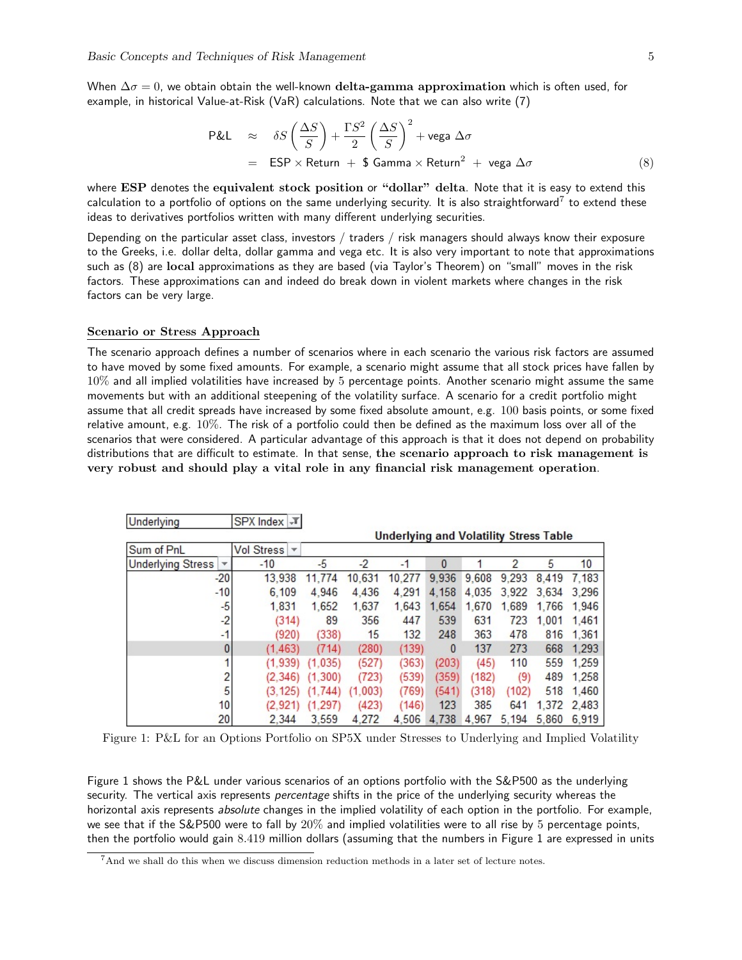When  $\Delta \sigma = 0$ , we obtain obtain the well-known delta-gamma approximation which is often used, for example, in historical Value-at-Risk (VaR) calculations. Note that we can also write (7)

$$
\begin{array}{rcl}\n\mathsf{P&L} & \approx & \delta S \left( \frac{\Delta S}{S} \right) + \frac{\Gamma S^2}{2} \left( \frac{\Delta S}{S} \right)^2 + \mathsf{vega} \ \Delta \sigma \\
& = & \mathsf{ESP} \times \text{Return } + \ \mathsf{\$} \ \mathsf{Gamma} \times \mathsf{Return}^2 + \mathsf{vega} \ \Delta \sigma\n\end{array}\n\tag{8}
$$

where ESP denotes the equivalent stock position or "dollar" delta. Note that it is easy to extend this calculation to a portfolio of options on the same underlying security. It is also straightforward<sup>7</sup> to extend these ideas to derivatives portfolios written with many different underlying securities.

Depending on the particular asset class, investors / traders / risk managers should always know their exposure to the Greeks, i.e. dollar delta, dollar gamma and vega etc. It is also very important to note that approximations such as (8) are local approximations as they are based (via Taylor's Theorem) on "small" moves in the risk factors. These approximations can and indeed do break down in violent markets where changes in the risk factors can be very large.

#### Scenario or Stress Approach

The scenario approach defines a number of scenarios where in each scenario the various risk factors are assumed to have moved by some fixed amounts. For example, a scenario might assume that all stock prices have fallen by 10% and all implied volatilities have increased by 5 percentage points. Another scenario might assume the same movements but with an additional steepening of the volatility surface. A scenario for a credit portfolio might assume that all credit spreads have increased by some fixed absolute amount, e.g. 100 basis points, or some fixed relative amount, e.g. 10%. The risk of a portfolio could then be defined as the maximum loss over all of the scenarios that were considered. A particular advantage of this approach is that it does not depend on probability distributions that are difficult to estimate. In that sense, the scenario approach to risk management is very robust and should play a vital role in any financial risk management operation.

| Underlying                                           | SPX Index T    |                                               |         |        |              |       |                          |       |       |
|------------------------------------------------------|----------------|-----------------------------------------------|---------|--------|--------------|-------|--------------------------|-------|-------|
|                                                      |                | <b>Underlying and Volatility Stress Table</b> |         |        |              |       |                          |       |       |
| Sum of PnL                                           | Vol Stress   v |                                               |         |        |              |       |                          |       |       |
| <b>Underlying Stress</b><br>$\overline{\phantom{a}}$ | $-10$          | $-5$                                          | $-2$    | $-1$   | $\mathbf{0}$ |       | $\overline{\phantom{a}}$ | 5     | 10    |
| $-20$                                                | 13,938         | 11.774                                        | 10.631  | 10.277 | 9.936        | 9.608 | 9.293                    | 8.419 | 7.183 |
| $-10$                                                | 6.109          | 4.946                                         | 4,436   | 4.291  | 4.158        | 4,035 | 3.922                    | 3.634 | 3.296 |
| -5                                                   | 1,831          | 1,652                                         | 1,637   | 1,643  | 1,654        | 1,670 | 1.689                    | 1.766 | 1.946 |
| $-2$                                                 | (314)          | 89                                            | 356     | 447    | 539          | 631   | 723                      | 1.001 | 1,461 |
| $-1$                                                 | (920)          | (338)                                         | 15      | 132    | 248          | 363   | 478                      | 816   | 1,361 |
| 0                                                    | (1.463)        | (714)                                         | (280)   | (139)  | $\bf{0}$     | 137   | 273                      | 668   | 1,293 |
|                                                      | (1.939)        | .035)<br>(1)                                  | (527)   | (363)  | (203)        | (45)  | 110                      | 559   | 1,259 |
| 2                                                    | (2.346)        | (1.300)                                       | (723)   | (539)  | (359)        | (182) | (9)                      | 489   | 1,258 |
| 5                                                    | (3.125)        | (1.744)                                       | (1.003) | (769)  | (541)        | (318) | (102)                    | 518   | 1,460 |
| 10                                                   | (2.921)        | .297)                                         | (423)   | (146)  | 123          | 385   | 641                      | 1.372 | 2,483 |
| 20                                                   | 2.344          | 3,559                                         | 4,272   | 4,506  | 4,738        | 4.967 | 5.194                    | 5,860 | 6.919 |

Figure 1: P&L for an Options Portfolio on SP5X under Stresses to Underlying and Implied Volatility

Figure 1 shows the P&L under various scenarios of an options portfolio with the S&P500 as the underlying security. The vertical axis represents *percentage* shifts in the price of the underlying security whereas the horizontal axis represents absolute changes in the implied volatility of each option in the portfolio. For example, we see that if the S&P500 were to fall by 20% and implied volatilities were to all rise by 5 percentage points, then the portfolio would gain 8.419 million dollars (assuming that the numbers in Figure 1 are expressed in units

<sup>7</sup>And we shall do this when we discuss dimension reduction methods in a later set of lecture notes.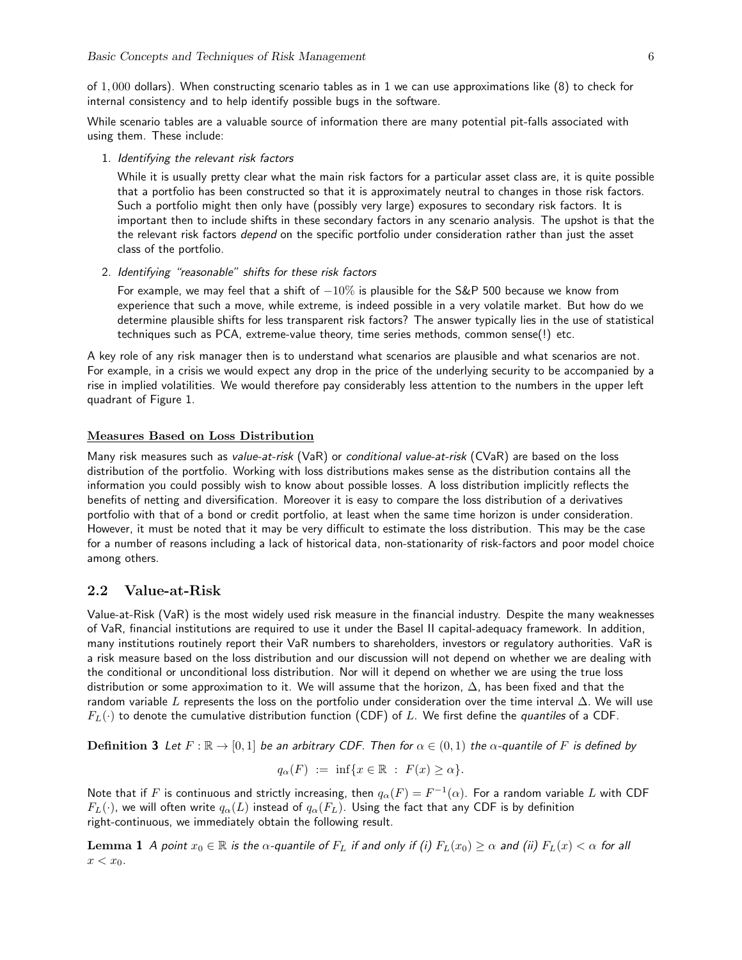of 1, 000 dollars). When constructing scenario tables as in 1 we can use approximations like (8) to check for internal consistency and to help identify possible bugs in the software.

While scenario tables are a valuable source of information there are many potential pit-falls associated with using them. These include:

1. Identifying the relevant risk factors

While it is usually pretty clear what the main risk factors for a particular asset class are, it is quite possible that a portfolio has been constructed so that it is approximately neutral to changes in those risk factors. Such a portfolio might then only have (possibly very large) exposures to secondary risk factors. It is important then to include shifts in these secondary factors in any scenario analysis. The upshot is that the the relevant risk factors *depend* on the specific portfolio under consideration rather than just the asset class of the portfolio.

2. Identifying "reasonable" shifts for these risk factors

For example, we may feel that a shift of  $-10\%$  is plausible for the S&P 500 because we know from experience that such a move, while extreme, is indeed possible in a very volatile market. But how do we determine plausible shifts for less transparent risk factors? The answer typically lies in the use of statistical techniques such as PCA, extreme-value theory, time series methods, common sense(!) etc.

A key role of any risk manager then is to understand what scenarios are plausible and what scenarios are not. For example, in a crisis we would expect any drop in the price of the underlying security to be accompanied by a rise in implied volatilities. We would therefore pay considerably less attention to the numbers in the upper left quadrant of Figure 1.

#### Measures Based on Loss Distribution

Many risk measures such as value-at-risk (VaR) or conditional value-at-risk (CVaR) are based on the loss distribution of the portfolio. Working with loss distributions makes sense as the distribution contains all the information you could possibly wish to know about possible losses. A loss distribution implicitly reflects the benefits of netting and diversification. Moreover it is easy to compare the loss distribution of a derivatives portfolio with that of a bond or credit portfolio, at least when the same time horizon is under consideration. However, it must be noted that it may be very difficult to estimate the loss distribution. This may be the case for a number of reasons including a lack of historical data, non-stationarity of risk-factors and poor model choice among others.

### 2.2 Value-at-Risk

Value-at-Risk (VaR) is the most widely used risk measure in the financial industry. Despite the many weaknesses of VaR, financial institutions are required to use it under the Basel II capital-adequacy framework. In addition, many institutions routinely report their VaR numbers to shareholders, investors or regulatory authorities. VaR is a risk measure based on the loss distribution and our discussion will not depend on whether we are dealing with the conditional or unconditional loss distribution. Nor will it depend on whether we are using the true loss distribution or some approximation to it. We will assume that the horizon,  $\Delta$ , has been fixed and that the random variable L represents the loss on the portfolio under consideration over the time interval  $\Delta$ . We will use  $F_L(\cdot)$  to denote the cumulative distribution function (CDF) of L. We first define the *quantiles* of a CDF.

Definition 3 Let  $F : \mathbb{R} \to [0, 1]$  be an arbitrary CDF. Then for  $\alpha \in (0, 1)$  the  $\alpha$ -quantile of F is defined by

$$
q_{\alpha}(F) := \inf\{x \in \mathbb{R} : F(x) \ge \alpha\}.
$$

Note that if  $F$  is continuous and strictly increasing, then  $q_\alpha(F)=F^{-1}(\alpha).$  For a random variable  $L$  with CDF  $F_L(\cdot)$ , we will often write  $q_{\alpha}(L)$  instead of  $q_{\alpha}(F_L)$ . Using the fact that any CDF is by definition right-continuous, we immediately obtain the following result.

Lemma 1 A point  $x_0 \in \mathbb{R}$  is the  $\alpha$ -quantile of  $F_L$  if and only if (i)  $F_L(x_0) \ge \alpha$  and (ii)  $F_L(x) < \alpha$  for all  $x < x_0$ .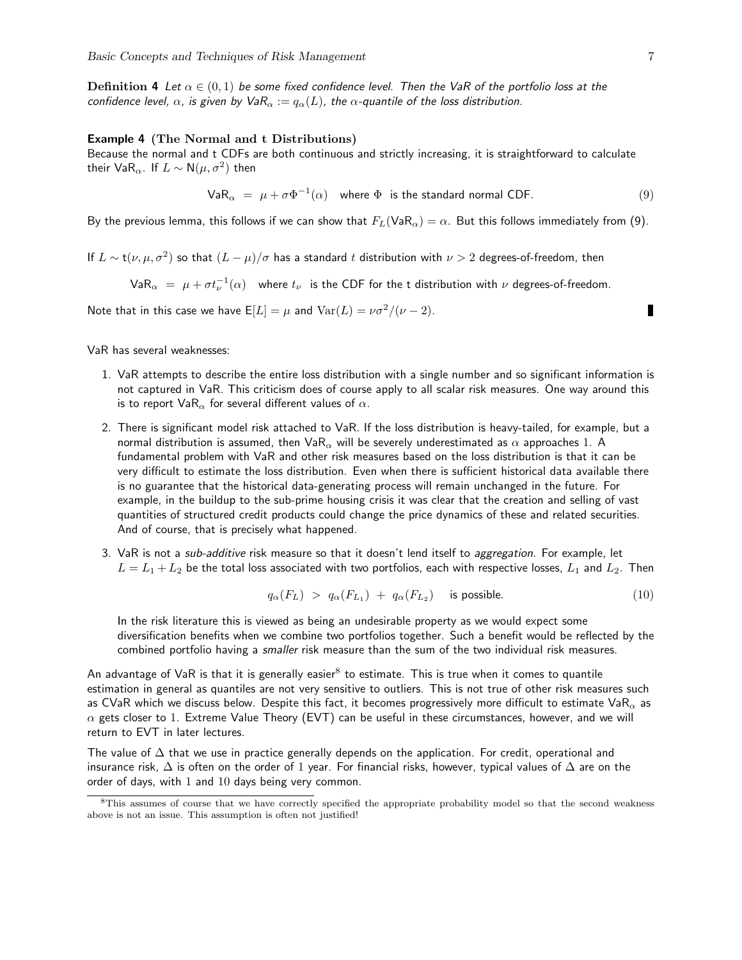**Definition 4** Let  $\alpha \in (0,1)$  be some fixed confidence level. Then the VaR of the portfolio loss at the confidence level,  $\alpha$ , is given by  $VaR_\alpha := q_\alpha(L)$ , the  $\alpha$ -quantile of the loss distribution.

### Example 4 (The Normal and t Distributions)

Because the normal and t CDFs are both continuous and strictly increasing, it is straightforward to calculate their Va $\mathsf{R}_{\alpha}.$  If  $L \sim \mathsf{N}(\mu, \sigma^2)$  then

$$
VaR_{\alpha} = \mu + \sigma \Phi^{-1}(\alpha) \quad \text{where } \Phi \text{ is the standard normal CDF.} \tag{9}
$$

By the previous lemma, this follows if we can show that  $F_L(\text{VaR}_{\alpha}) = \alpha$ . But this follows immediately from (9).

If 
$$
L \sim t(\nu, \mu, \sigma^2)
$$
 so that  $(L - \mu)/\sigma$  has a standard t distribution with  $\nu > 2$  degrees-of-freedom, then

Va $\mathsf{R}_\alpha ~=~ \mu+\sigma t_\nu^{-1}(\alpha)$  where  $t_\nu$  is the CDF for the t distribution with  $\nu$  degrees-of-freedom.

Note that in this case we have  $E[L] = \mu$  and  $Var(L) = \nu \sigma^2/(\nu - 2)$ .

п

VaR has several weaknesses:

- 1. VaR attempts to describe the entire loss distribution with a single number and so significant information is not captured in VaR. This criticism does of course apply to all scalar risk measures. One way around this is to report  $VaR_{\alpha}$  for several different values of  $\alpha$ .
- 2. There is significant model risk attached to VaR. If the loss distribution is heavy-tailed, for example, but a normal distribution is assumed, then VaR<sub>α</sub> will be severely underestimated as  $\alpha$  approaches 1. A fundamental problem with VaR and other risk measures based on the loss distribution is that it can be very difficult to estimate the loss distribution. Even when there is sufficient historical data available there is no guarantee that the historical data-generating process will remain unchanged in the future. For example, in the buildup to the sub-prime housing crisis it was clear that the creation and selling of vast quantities of structured credit products could change the price dynamics of these and related securities. And of course, that is precisely what happened.
- 3. VaR is not a *sub-additive* risk measure so that it doesn't lend itself to aggregation. For example, let  $L = L_1 + L_2$  be the total loss associated with two portfolios, each with respective losses,  $L_1$  and  $L_2$ . Then

$$
q_{\alpha}(F_L) > q_{\alpha}(F_{L_1}) + q_{\alpha}(F_{L_2}) \quad \text{ is possible.} \tag{10}
$$

In the risk literature this is viewed as being an undesirable property as we would expect some diversification benefits when we combine two portfolios together. Such a benefit would be reflected by the combined portfolio having a *smaller* risk measure than the sum of the two individual risk measures.

An advantage of VaR is that it is generally easier $^8$  to estimate. This is true when it comes to quantile estimation in general as quantiles are not very sensitive to outliers. This is not true of other risk measures such as CVaR which we discuss below. Despite this fact, it becomes progressively more difficult to estimate VaR<sub> $\alpha$ </sub> as  $\alpha$  gets closer to 1. Extreme Value Theory (EVT) can be useful in these circumstances, however, and we will return to EVT in later lectures.

The value of  $\Delta$  that we use in practice generally depends on the application. For credit, operational and insurance risk,  $\Delta$  is often on the order of 1 year. For financial risks, however, typical values of  $\Delta$  are on the order of days, with 1 and 10 days being very common.

<sup>&</sup>lt;sup>8</sup>This assumes of course that we have correctly specified the appropriate probability model so that the second weakness above is not an issue. This assumption is often not justified!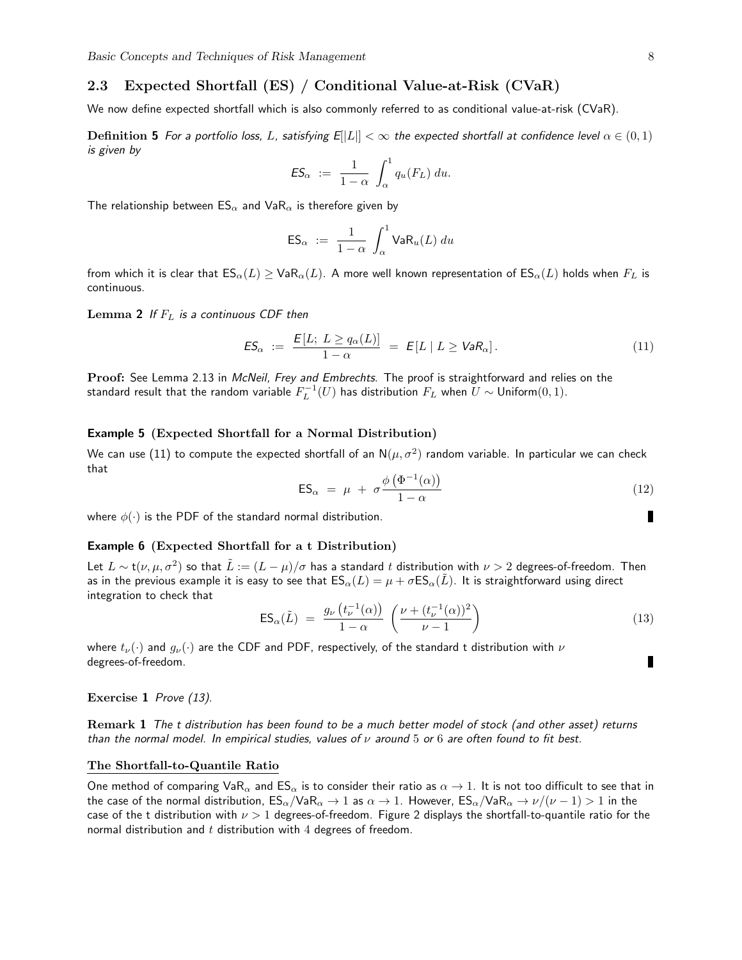# 2.3 Expected Shortfall (ES) / Conditional Value-at-Risk (CVaR)

We now define expected shortfall which is also commonly referred to as conditional value-at-risk (CVaR).

Definition 5 For a portfolio loss, L, satisfying  $E[|L|] < \infty$  the expected shortfall at confidence level  $\alpha \in (0,1)$ is given by

$$
\mathit{ES}_{\alpha} := \frac{1}{1-\alpha} \int_{\alpha}^{1} q_u(F_L) \, du.
$$

The relationship between  $ES_{\alpha}$  and  $VaR_{\alpha}$  is therefore given by

$$
\mathsf{ES}_\alpha \ := \ \frac{1}{1-\alpha} \, \int_\alpha^1 \mathsf{VaR}_u(L) \; du
$$

from which it is clear that  $ES_{\alpha}(L) \geq VaR_{\alpha}(L)$ . A more well known representation of  $ES_{\alpha}(L)$  holds when  $F_L$  is continuous.

Lemma 2 If  $F_L$  is a continuous CDF then

$$
ES_{\alpha} := \frac{E[L; L \ge q_{\alpha}(L)]}{1 - \alpha} = E[L | L \ge VaR_{\alpha}]. \tag{11}
$$

Proof: See Lemma 2.13 in McNeil, Frey and Embrechts. The proof is straightforward and relies on the standard result that the random variable  $F_L^{-1}(U)$  has distribution  $F_L$  when  $U\sim \mathsf{Uniform}(0,1).$ 

#### Example 5 (Expected Shortfall for a Normal Distribution)

We can use (11) to compute the expected shortfall of an  $\mathsf{N}(\mu,\sigma^2)$  random variable. In particular we can check that

$$
ES_{\alpha} = \mu + \sigma \frac{\phi(\Phi^{-1}(\alpha))}{1 - \alpha} \tag{12}
$$

where  $\phi(\cdot)$  is the PDF of the standard normal distribution.

#### Example 6 (Expected Shortfall for a t Distribution)

Let  $L \sim$  t $(\nu,\mu,\sigma^2)$  so that  $\tilde{L}:=(L-\mu)/\sigma$  has a standard  $t$  distribution with  $\nu>2$  degrees-of-freedom. Then as in the previous example it is easy to see that  $ES_\alpha(L) = \mu + \sigma ES_\alpha(\tilde{L})$ . It is straightforward using direct integration to check that

$$
\mathsf{ES}_{\alpha}(\tilde{L}) = \frac{g_{\nu}\left(t_{\nu}^{-1}(\alpha)\right)}{1-\alpha} \left(\frac{\nu + (t_{\nu}^{-1}(\alpha))^2}{\nu-1}\right) \tag{13}
$$

where  $t_{\nu}(\cdot)$  and  $g_{\nu}(\cdot)$  are the CDF and PDF, respectively, of the standard t distribution with  $\nu$ degrees-of-freedom.

Exercise 1 Prove (13).

Remark 1 The t distribution has been found to be a much better model of stock (and other asset) returns than the normal model. In empirical studies, values of  $\nu$  around 5 or 6 are often found to fit best.

### The Shortfall-to-Quantile Ratio

One method of comparing VaR<sub>α</sub> and ES<sub>α</sub> is to consider their ratio as  $\alpha \to 1$ . It is not too difficult to see that in the case of the normal distribution,  $ES_{\alpha}/VaR_{\alpha} \to 1$  as  $\alpha \to 1$ . However,  $ES_{\alpha}/VaR_{\alpha} \to \nu/(\nu-1) > 1$  in the case of the t distribution with  $\nu > 1$  degrees-of-freedom. Figure 2 displays the shortfall-to-quantile ratio for the normal distribution and  $t$  distribution with  $4$  degrees of freedom.

п

П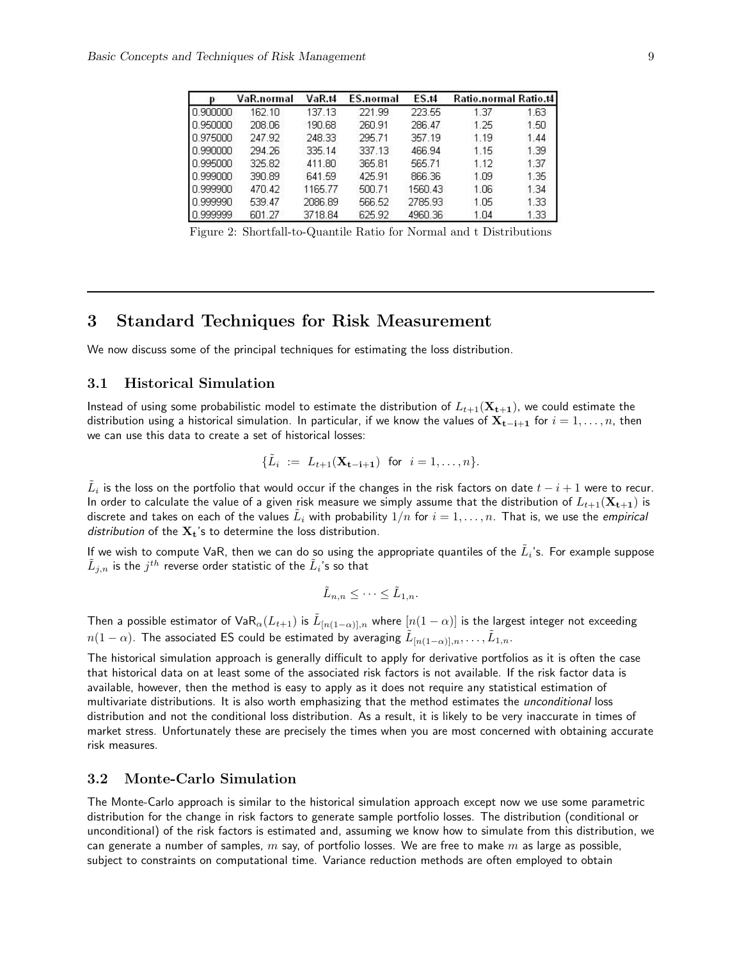| D        | VaR.normal | VaR.t4  | ES.normal | <b>ES.t4</b> | Ratio.normal Ratio.t4 |      |
|----------|------------|---------|-----------|--------------|-----------------------|------|
| 0.900000 | 162.10     | 137.13  | 221.99    | 223.55       | 1.37                  | 1.63 |
| 0.950000 | 208.06     | 190.68  | 260.91    | 286.47       | 1.25                  | 1.50 |
| 0.975000 | 247.92     | 248.33  | 295.71    | 357.19       | 1.19                  | 1.44 |
| 0.990000 | 294.26     | 335.14  | 337.13    | 466.94       | 1.15                  | 1.39 |
| 0.995000 | 325.82     | 411.80  | 365.81    | 565.71       | 1.12                  | 1.37 |
| 0.999000 | 390.89     | 641.59  | 425.91    | 866.36       | 1.09                  | 1.35 |
| 0.999900 | 470.42     | 1165.77 | 500.71    | 1560.43      | 1.06                  | 1.34 |
| 0.999990 | 539.47     | 2086.89 | 566.52    | 2785.93      | 1.05                  | 1.33 |
| 0.999999 | 601.27     | 3718.84 | 625.92    | 4960.36      | 1.04                  | 1.33 |

Figure 2: Shortfall-to-Quantile Ratio for Normal and t Distributions

# 3 Standard Techniques for Risk Measurement

We now discuss some of the principal techniques for estimating the loss distribution.

## 3.1 Historical Simulation

Instead of using some probabilistic model to estimate the distribution of  $L_{t+1}(\mathbf{X}_{t+1})$ , we could estimate the distribution using a historical simulation. In particular, if we know the values of  $\mathbf{X}_{t-i+1}$  for  $i = 1, \ldots, n$ , then we can use this data to create a set of historical losses:

$$
\{\tilde{L}_i := L_{t+1}(\mathbf{X}_{t-i+1}) \text{ for } i = 1, ..., n\}.
$$

 $\tilde{L}_i$  is the loss on the portfolio that would occur if the changes in the risk factors on date  $t-i+1$  were to recur. In order to calculate the value of a given risk measure we simply assume that the distribution of  $L_{t+1}(\mathbf{X_{t+1}})$  is discrete and takes on each of the values  $\tilde{L}_i$  with probability  $1/n$  for  $i=1,\ldots,n.$  That is, we use the *empirical* distribution of the  $X_t$ 's to determine the loss distribution.

If we wish to compute VaR, then we can do so using the appropriate quantiles of the  $\tilde L_i$ 's. For example suppose  $\tilde{L}_{j,n}$  is the  $j^{th}$  reverse order statistic of the  $\tilde{L}_i$ 's so that

$$
\tilde{L}_{n,n} \leq \cdots \leq \tilde{L}_{1,n}.
$$

Then a possible estimator of VaR $_\alpha(L_{t+1})$  is  $\tilde L_{[n(1-\alpha)],n}$  where  $[n(1-\alpha)]$  is the largest integer not exceeding  $n(1-\alpha).$  The associated ES could be estimated by averaging  $\tilde{L}_{[n(1-\alpha)],n},\ldots,\tilde{L}_{1,n}.$ 

The historical simulation approach is generally difficult to apply for derivative portfolios as it is often the case that historical data on at least some of the associated risk factors is not available. If the risk factor data is available, however, then the method is easy to apply as it does not require any statistical estimation of multivariate distributions. It is also worth emphasizing that the method estimates the *unconditional* loss distribution and not the conditional loss distribution. As a result, it is likely to be very inaccurate in times of market stress. Unfortunately these are precisely the times when you are most concerned with obtaining accurate risk measures.

# 3.2 Monte-Carlo Simulation

The Monte-Carlo approach is similar to the historical simulation approach except now we use some parametric distribution for the change in risk factors to generate sample portfolio losses. The distribution (conditional or unconditional) of the risk factors is estimated and, assuming we know how to simulate from this distribution, we can generate a number of samples,  $m$  say, of portfolio losses. We are free to make  $m$  as large as possible, subject to constraints on computational time. Variance reduction methods are often employed to obtain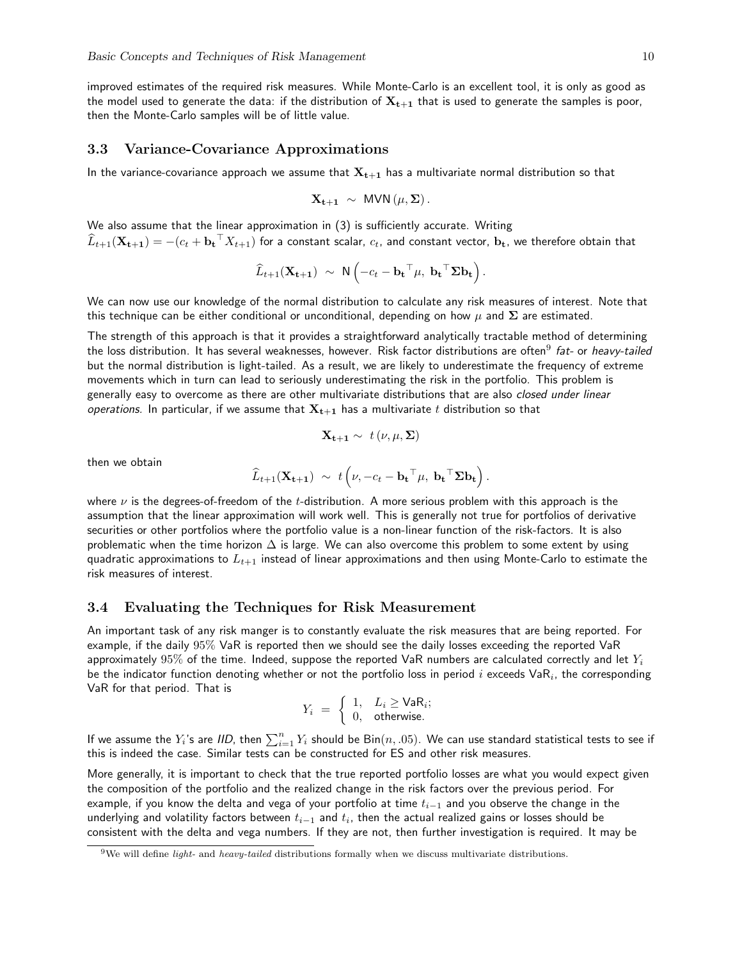improved estimates of the required risk measures. While Monte-Carlo is an excellent tool, it is only as good as the model used to generate the data: if the distribution of  $X_{t+1}$  that is used to generate the samples is poor, then the Monte-Carlo samples will be of little value.

# 3.3 Variance-Covariance Approximations

In the variance-covariance approach we assume that  $X_{t+1}$  has a multivariate normal distribution so that

$$
\mathbf{X_{t+1}} \sim \text{MVN}(\mu, \Sigma).
$$

We also assume that the linear approximation in (3) is sufficiently accurate. Writing  $\widehat{L}_{t+1}(\mathbf{X_{t+1}}) = -(c_t + \mathbf{b_t}^\top X_{t+1})$  for a constant scalar,  $c_t$ , and constant vector,  $\mathbf{b_t}$ , we therefore obtain that

$$
\widehat{L}_{t+1}(\mathbf{X}_{t+1}) \ \sim \ \mathsf{N}\left(-c_t - \mathbf{b_t}^\top \mu, \ \mathbf{b_t}^\top \mathbf{\Sigma} \mathbf{b_t}\right).
$$

We can now use our knowledge of the normal distribution to calculate any risk measures of interest. Note that this technique can be either conditional or unconditional, depending on how  $\mu$  and  $\Sigma$  are estimated.

The strength of this approach is that it provides a straightforward analytically tractable method of determining the loss distribution. It has several weaknesses, however. Risk factor distributions are often $^9$  *fat*- or *heavy-tailed* but the normal distribution is light-tailed. As a result, we are likely to underestimate the frequency of extreme movements which in turn can lead to seriously underestimating the risk in the portfolio. This problem is generally easy to overcome as there are other multivariate distributions that are also closed under linear operations. In particular, if we assume that  $X_{t+1}$  has a multivariate t distribution so that

$$
\mathbf{X_{t+1}} \sim t(\nu, \mu, \Sigma)
$$

then we obtain

$$
\widehat{L}_{t+1}(\mathbf{X}_{t+1}) \ \sim \ t\left(\nu, -c_t - \mathbf{b_t}^\top \mu, \ \mathbf{b_t}^\top \mathbf{\Sigma} \mathbf{b_t}\right).
$$

where  $\nu$  is the degrees-of-freedom of the t-distribution. A more serious problem with this approach is the assumption that the linear approximation will work well. This is generally not true for portfolios of derivative securities or other portfolios where the portfolio value is a non-linear function of the risk-factors. It is also problematic when the time horizon  $\Delta$  is large. We can also overcome this problem to some extent by using quadratic approximations to  $L_{t+1}$  instead of linear approximations and then using Monte-Carlo to estimate the risk measures of interest.

### 3.4 Evaluating the Techniques for Risk Measurement

An important task of any risk manger is to constantly evaluate the risk measures that are being reported. For example, if the daily 95% VaR is reported then we should see the daily losses exceeding the reported VaR approximately  $95\%$  of the time. Indeed, suppose the reported VaR numbers are calculated correctly and let  $Y_i$ be the indicator function denoting whether or not the portfolio loss in period  $i$  exceeds  $\mathsf{VaR}_i$ , the corresponding VaR for that period. That is

$$
Y_i = \begin{cases} 1, & L_i \geq \text{VaR}_i; \\ 0, & \text{otherwise.} \end{cases}
$$

If we assume the  $Y_i$ 's are *IID*, then  $\sum_{i=1}^n Y_i$  should be  $\mathsf{Bin}(n, .05).$  We can use standard statistical tests to see if this is indeed the case. Similar tests can be constructed for ES and other risk measures.

More generally, it is important to check that the true reported portfolio losses are what you would expect given the composition of the portfolio and the realized change in the risk factors over the previous period. For example, if you know the delta and vega of your portfolio at time  $t_{i-1}$  and you observe the change in the underlying and volatility factors between  $t_{i-1}$  and  $t_i$ , then the actual realized gains or losses should be consistent with the delta and vega numbers. If they are not, then further investigation is required. It may be

 $9$ We will define *light*- and *heavy-tailed* distributions formally when we discuss multivariate distributions.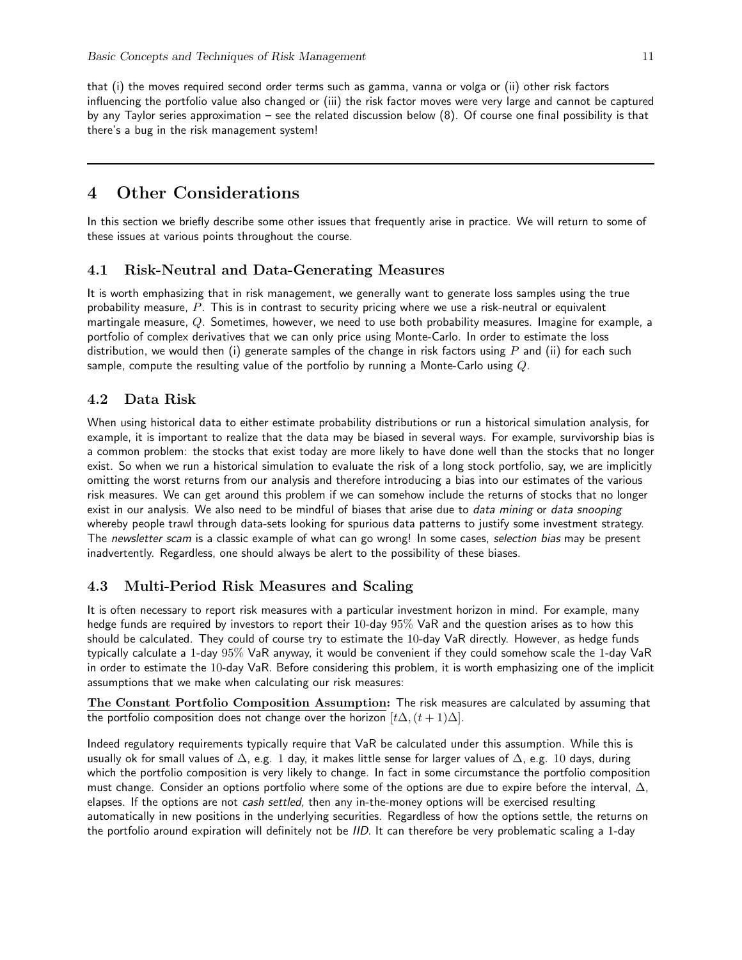that (i) the moves required second order terms such as gamma, vanna or volga or (ii) other risk factors influencing the portfolio value also changed or (iii) the risk factor moves were very large and cannot be captured by any Taylor series approximation – see the related discussion below (8). Of course one final possibility is that there's a bug in the risk management system!

# 4 Other Considerations

In this section we briefly describe some other issues that frequently arise in practice. We will return to some of these issues at various points throughout the course.

# 4.1 Risk-Neutral and Data-Generating Measures

It is worth emphasizing that in risk management, we generally want to generate loss samples using the true probability measure, P. This is in contrast to security pricing where we use a risk-neutral or equivalent martingale measure, Q. Sometimes, however, we need to use both probability measures. Imagine for example, a portfolio of complex derivatives that we can only price using Monte-Carlo. In order to estimate the loss distribution, we would then (i) generate samples of the change in risk factors using  $P$  and (ii) for each such sample, compute the resulting value of the portfolio by running a Monte-Carlo using  $Q$ .

# 4.2 Data Risk

When using historical data to either estimate probability distributions or run a historical simulation analysis, for example, it is important to realize that the data may be biased in several ways. For example, survivorship bias is a common problem: the stocks that exist today are more likely to have done well than the stocks that no longer exist. So when we run a historical simulation to evaluate the risk of a long stock portfolio, say, we are implicitly omitting the worst returns from our analysis and therefore introducing a bias into our estimates of the various risk measures. We can get around this problem if we can somehow include the returns of stocks that no longer exist in our analysis. We also need to be mindful of biases that arise due to *data mining* or *data snooping* whereby people trawl through data-sets looking for spurious data patterns to justify some investment strategy. The newsletter scam is a classic example of what can go wrong! In some cases, selection bias may be present inadvertently. Regardless, one should always be alert to the possibility of these biases.

# 4.3 Multi-Period Risk Measures and Scaling

It is often necessary to report risk measures with a particular investment horizon in mind. For example, many hedge funds are required by investors to report their 10-day 95% VaR and the question arises as to how this should be calculated. They could of course try to estimate the 10-day VaR directly. However, as hedge funds typically calculate a 1-day 95% VaR anyway, it would be convenient if they could somehow scale the 1-day VaR in order to estimate the 10-day VaR. Before considering this problem, it is worth emphasizing one of the implicit assumptions that we make when calculating our risk measures:

The Constant Portfolio Composition Assumption: The risk measures are calculated by assuming that the portfolio composition does not change over the horizon  $[t\Delta, (t+1)\Delta]$ .

Indeed regulatory requirements typically require that VaR be calculated under this assumption. While this is usually ok for small values of  $\Delta$ , e.g. 1 day, it makes little sense for larger values of  $\Delta$ , e.g. 10 days, during which the portfolio composition is very likely to change. In fact in some circumstance the portfolio composition must change. Consider an options portfolio where some of the options are due to expire before the interval,  $\Delta$ , elapses. If the options are not *cash settled*, then any in-the-money options will be exercised resulting automatically in new positions in the underlying securities. Regardless of how the options settle, the returns on the portfolio around expiration will definitely not be IID. It can therefore be very problematic scaling a 1-day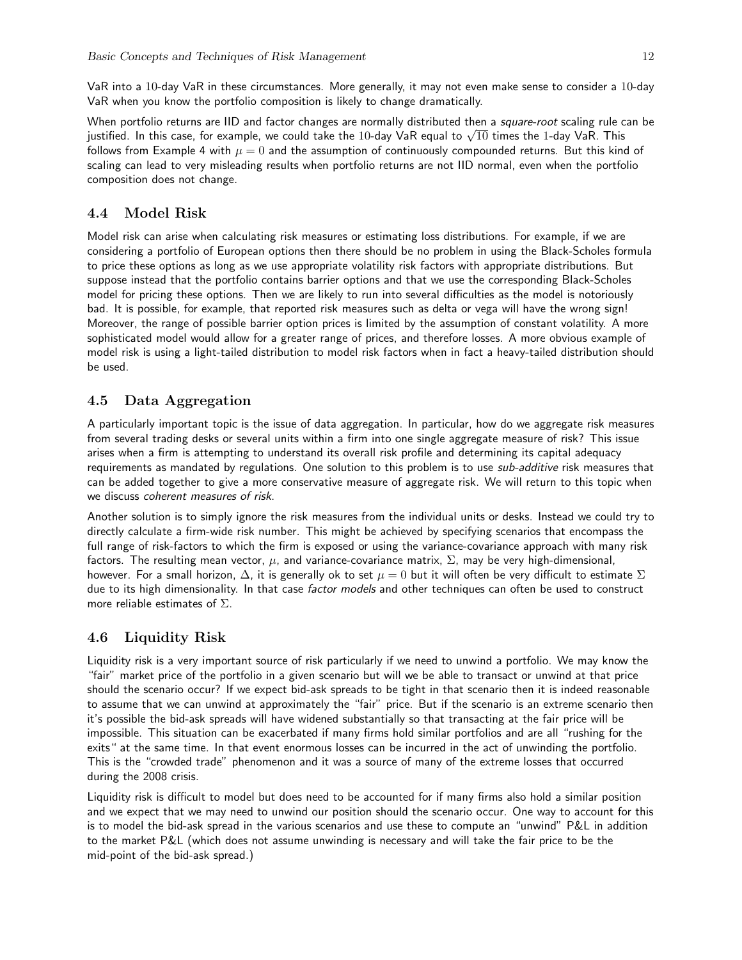VaR into a 10-day VaR in these circumstances. More generally, it may not even make sense to consider a 10-day VaR when you know the portfolio composition is likely to change dramatically.

When portfolio returns are IID and factor changes are normally distributed then a square-root scaling rule can be vvnen portrono returns are 11D and ractor cnanges are normany distributed then a *square-root* scaling rule c<br>justified. In this case, for example, we could take the 10-day VaR equal to √10 times the 1-day VaR. This follows from Example 4 with  $\mu = 0$  and the assumption of continuously compounded returns. But this kind of scaling can lead to very misleading results when portfolio returns are not IID normal, even when the portfolio composition does not change.

# 4.4 Model Risk

Model risk can arise when calculating risk measures or estimating loss distributions. For example, if we are considering a portfolio of European options then there should be no problem in using the Black-Scholes formula to price these options as long as we use appropriate volatility risk factors with appropriate distributions. But suppose instead that the portfolio contains barrier options and that we use the corresponding Black-Scholes model for pricing these options. Then we are likely to run into several difficulties as the model is notoriously bad. It is possible, for example, that reported risk measures such as delta or vega will have the wrong sign! Moreover, the range of possible barrier option prices is limited by the assumption of constant volatility. A more sophisticated model would allow for a greater range of prices, and therefore losses. A more obvious example of model risk is using a light-tailed distribution to model risk factors when in fact a heavy-tailed distribution should be used.

# 4.5 Data Aggregation

A particularly important topic is the issue of data aggregation. In particular, how do we aggregate risk measures from several trading desks or several units within a firm into one single aggregate measure of risk? This issue arises when a firm is attempting to understand its overall risk profile and determining its capital adequacy requirements as mandated by regulations. One solution to this problem is to use sub-additive risk measures that can be added together to give a more conservative measure of aggregate risk. We will return to this topic when we discuss coherent measures of risk.

Another solution is to simply ignore the risk measures from the individual units or desks. Instead we could try to directly calculate a firm-wide risk number. This might be achieved by specifying scenarios that encompass the full range of risk-factors to which the firm is exposed or using the variance-covariance approach with many risk factors. The resulting mean vector,  $\mu$ , and variance-covariance matrix,  $\Sigma$ , may be very high-dimensional, however. For a small horizon,  $\Delta$ , it is generally ok to set  $\mu=0$  but it will often be very difficult to estimate  $\Sigma$ due to its high dimensionality. In that case factor models and other techniques can often be used to construct more reliable estimates of  $\Sigma$ .

# 4.6 Liquidity Risk

Liquidity risk is a very important source of risk particularly if we need to unwind a portfolio. We may know the "fair" market price of the portfolio in a given scenario but will we be able to transact or unwind at that price should the scenario occur? If we expect bid-ask spreads to be tight in that scenario then it is indeed reasonable to assume that we can unwind at approximately the "fair" price. But if the scenario is an extreme scenario then it's possible the bid-ask spreads will have widened substantially so that transacting at the fair price will be impossible. This situation can be exacerbated if many firms hold similar portfolios and are all "rushing for the exits" at the same time. In that event enormous losses can be incurred in the act of unwinding the portfolio. This is the "crowded trade" phenomenon and it was a source of many of the extreme losses that occurred during the 2008 crisis.

Liquidity risk is difficult to model but does need to be accounted for if many firms also hold a similar position and we expect that we may need to unwind our position should the scenario occur. One way to account for this is to model the bid-ask spread in the various scenarios and use these to compute an "unwind" P&L in addition to the market P&L (which does not assume unwinding is necessary and will take the fair price to be the mid-point of the bid-ask spread.)